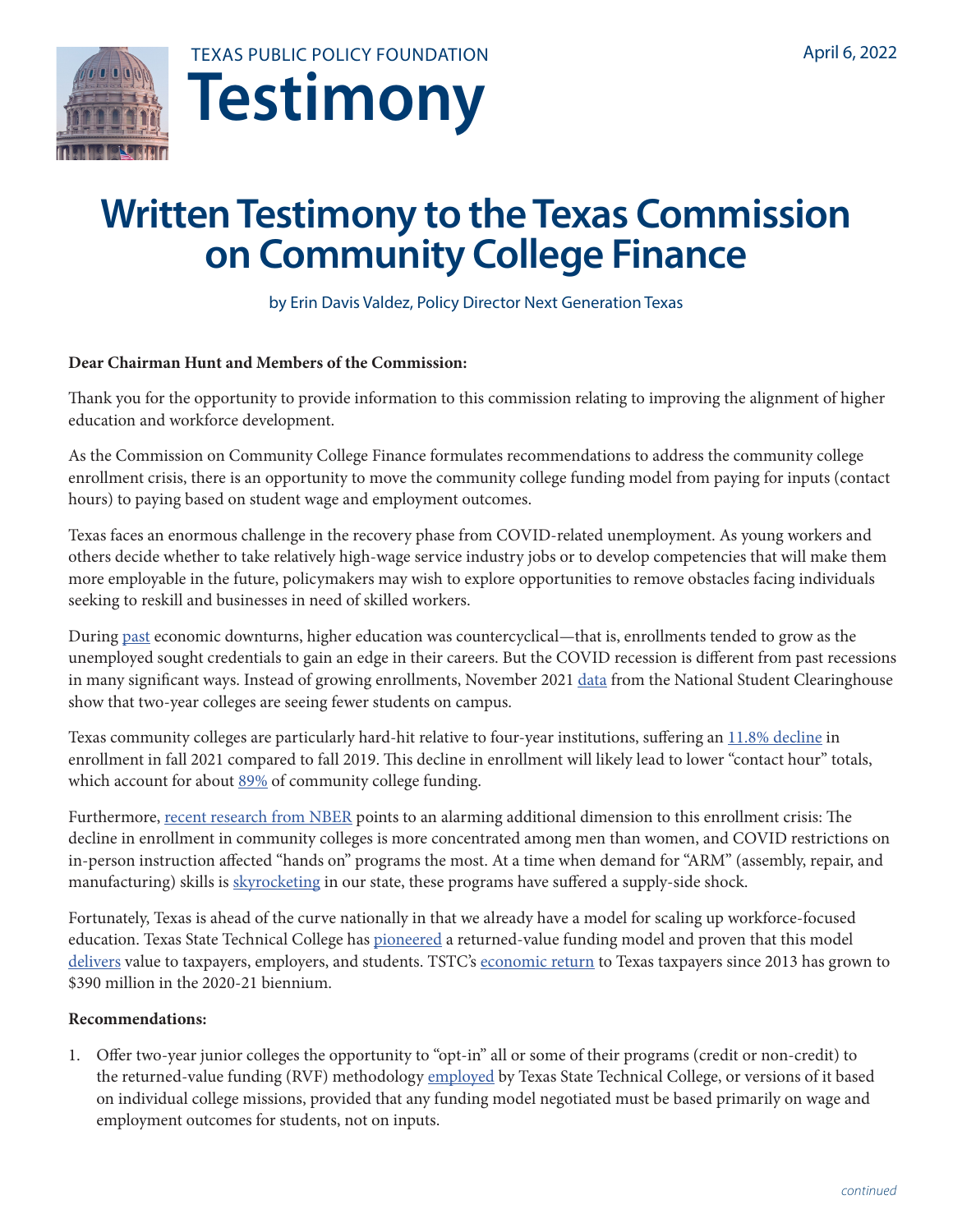



# **Written Testimony to the Texas Commission on Community College Finance**

by Erin Davis Valdez, Policy Director Next Generation Texas

#### **Dear Chairman Hunt and Members of the Commission:**

Thank you for the opportunity to provide information to this commission relating to improving the alignment of higher education and workforce development.

As the Commission on Community College Finance formulates recommendations to address the community college enrollment crisis, there is an opportunity to move the community college funding model from paying for inputs (contact hours) to paying based on student wage and employment outcomes.

Texas faces an enormous challenge in the recovery phase from COVID-related unemployment. As young workers and others decide whether to take relatively high-wage service industry jobs or to develop competencies that will make them more employable in the future, policymakers may wish to explore opportunities to remove obstacles facing individuals seeking to reskill and businesses in need of skilled workers.

During [past](https://www.insidehighered.com/news/2020/11/12/enrollment-declines-continue-national-student-clearinghouse-finds) economic downturns, higher education was countercyclical—that is, enrollments tended to grow as the unemployed sought credentials to gain an edge in their careers. But the COVID recession is different from past recessions in many significant ways. Instead of growing enrollments, November 2021 [data](https://nscresearchcenter.org/stay-informed/) from the National Student Clearinghouse show that two-year colleges are seeing fewer students on campus.

Texas community colleges are particularly hard-hit relative to four-year institutions, suffering an [11.8% decline](https://reportcenter.highered.texas.gov/texashigheredenrollments-2021) in enrollment in fall 2021 compared to fall 2019. This decline in enrollment will likely lead to lower "contact hour" totals, which account for about [89%](http://reportcenter.highered.texas.gov/reports/data/general-appropriations-act-overview) of community college funding.

Furthermore, [recent research from NBER](https://www.nber.org/papers/w29639) points to an alarming additional dimension to this enrollment crisis: The decline in enrollment in community colleges is more concentrated among men than women, and COVID restrictions on in-person instruction affected "hands on" programs the most. At a time when demand for "ARM" (assembly, repair, and manufacturing) skills is [skyrocketing](https://www.kens5.com/article/money/employers-looking-for-skilled-workers-labor/273-b4ffc7ff-aa23-49bb-89a0-1b1d2eb6edc6) in our state, these programs have suffered a supply-side shock.

Fortunately, Texas is ahead of the curve nationally in that we already have a model for scaling up workforce-focused education. Texas State Technical College has [pioneered](https://www.forbes.com/sites/tomlindsay/2016/06/26/texas-college-judge-and-fund-us-by-our-results/) a returned-value funding model and proven that this model [delivers](https://medium.com/cicero-news/the-returned-value-formula-57c5b2076032) value to taxpayers, employers, and students. TSTC's [economic return](https://nam11.safelinks.protection.outlook.com/?url=https%3A%2F%2Fwww.highered.texas.gov%2Finstitutional-resources-programs%2Ffunding-facilities%2Fformula-funding%2Fbasis-of-legislative-appropriations%2F&data=04%7C01%7Cevaldez%40texaspolicy.com%7C39551cfc3f0244b4ee9108da168986fc%7Ca09e2cb6dde84dd8ae3df1e84f57dd50%7C0%7C1%7C637847077180803574%7CUnknown%7CTWFpbGZsb3d8eyJWIjoiMC4wLjAwMDAiLCJQIjoiV2luMzIiLCJBTiI6Ik1haWwiLCJXVCI6Mn0%3D%7C3000&sdata=ZKRyR1SkZ7y7XcWFYKLv1rvoAE8mlnGXKw9Wgtw9%2BnA%3D&reserved=0) to Texas taxpayers since 2013 has grown to \$390 million in the 2020-21 biennium.

#### **Recommendations:**

1. Offer two-year junior colleges the opportunity to "opt-in" all or some of their programs (credit or non-credit) to the returned-value funding (RVF) methodology [employed](http://www.texas-air.org/conference/2015/presentations/J2.pdf) by Texas State Technical College, or versions of it based on individual college missions, provided that any funding model negotiated must be based primarily on wage and employment outcomes for students, not on inputs.